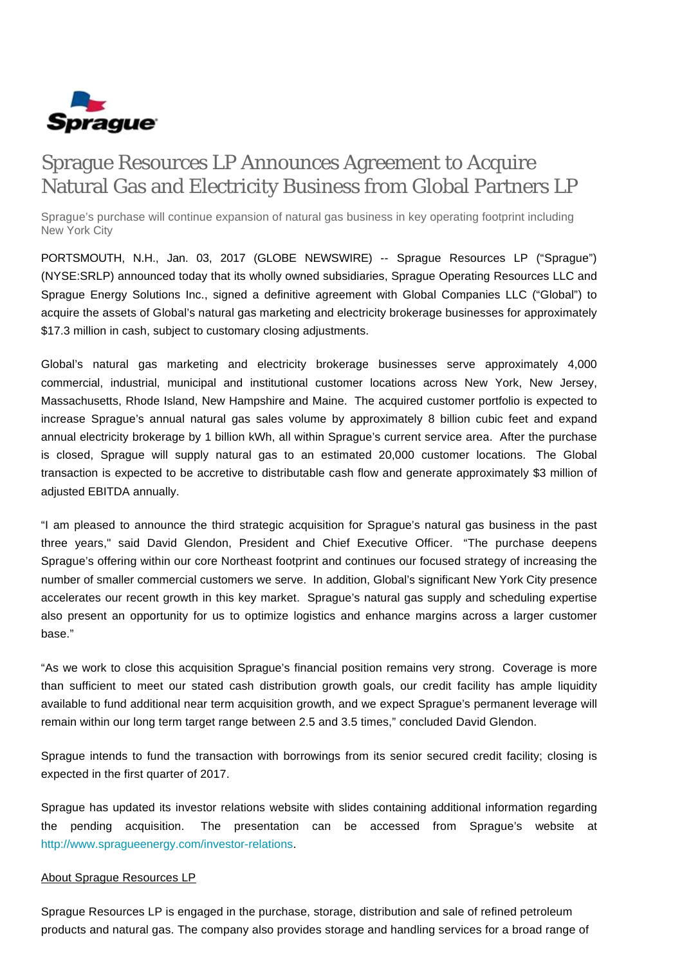

# Sprague Resources LP Announces Agreement to Acquire Natural Gas and Electricity Business from Global Partners LP

Sprague's purchase will continue expansion of natural gas business in key operating footprint including New York City

PORTSMOUTH, N.H., Jan. 03, 2017 (GLOBE NEWSWIRE) -- Sprague Resources LP ("Sprague") (NYSE:SRLP) announced today that its wholly owned subsidiaries, Sprague Operating Resources LLC and Sprague Energy Solutions Inc., signed a definitive agreement with Global Companies LLC ("Global") to acquire the assets of Global's natural gas marketing and electricity brokerage businesses for approximately \$17.3 million in cash, subject to customary closing adjustments.

Global's natural gas marketing and electricity brokerage businesses serve approximately 4,000 commercial, industrial, municipal and institutional customer locations across New York, New Jersey, Massachusetts, Rhode Island, New Hampshire and Maine. The acquired customer portfolio is expected to increase Sprague's annual natural gas sales volume by approximately 8 billion cubic feet and expand annual electricity brokerage by 1 billion kWh, all within Sprague's current service area. After the purchase is closed, Sprague will supply natural gas to an estimated 20,000 customer locations. The Global transaction is expected to be accretive to distributable cash flow and generate approximately \$3 million of adjusted EBITDA annually.

"I am pleased to announce the third strategic acquisition for Sprague's natural gas business in the past three years," said David Glendon, President and Chief Executive Officer. "The purchase deepens Sprague's offering within our core Northeast footprint and continues our focused strategy of increasing the number of smaller commercial customers we serve. In addition, Global's significant New York City presence accelerates our recent growth in this key market. Sprague's natural gas supply and scheduling expertise also present an opportunity for us to optimize logistics and enhance margins across a larger customer base."

"As we work to close this acquisition Sprague's financial position remains very strong. Coverage is more than sufficient to meet our stated cash distribution growth goals, our credit facility has ample liquidity available to fund additional near term acquisition growth, and we expect Sprague's permanent leverage will remain within our long term target range between 2.5 and 3.5 times," concluded David Glendon.

Sprague intends to fund the transaction with borrowings from its senior secured credit facility; closing is expected in the first quarter of 2017.

Sprague has updated its investor relations website with slides containing additional information regarding the pending acquisition. The presentation can be accessed from Sprague's website at [http://www.spragueenergy.com/investor-relations.](http://www.spragueenergy.com/investor-relations)

#### About Sprague Resources LP

Sprague Resources LP is engaged in the purchase, storage, distribution and sale of refined petroleum products and natural gas. The company also provides storage and handling services for a broad range of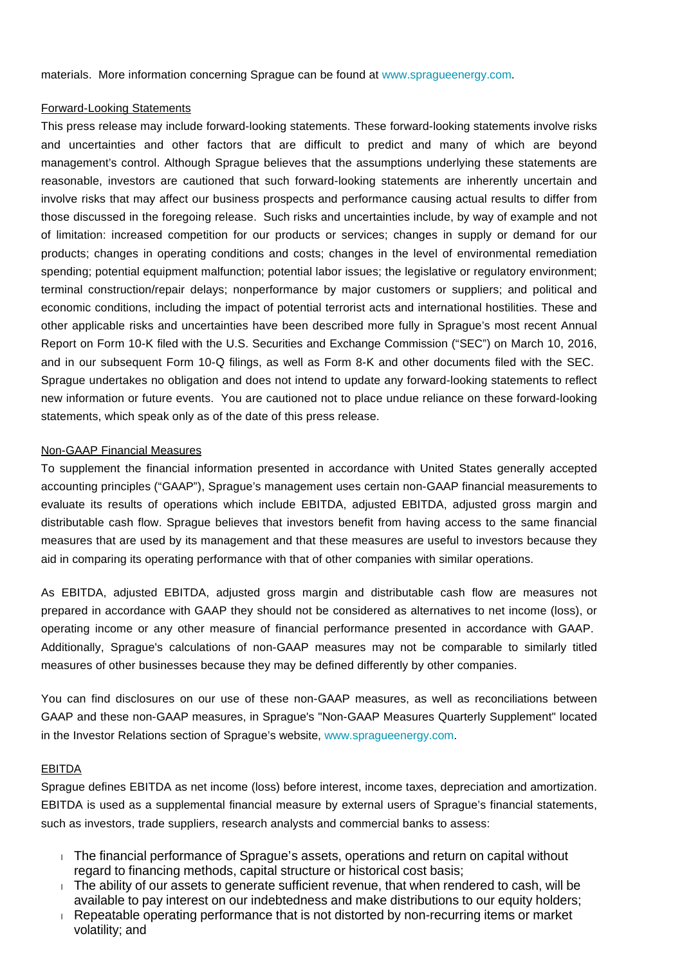materials. More information concerning Sprague can be found at [www.spragueenergy.com](http://www.spragueenergy.com/).

### Forward-Looking Statements

This press release may include forward-looking statements. These forward-looking statements involve risks and uncertainties and other factors that are difficult to predict and many of which are beyond management's control. Although Sprague believes that the assumptions underlying these statements are reasonable, investors are cautioned that such forward-looking statements are inherently uncertain and involve risks that may affect our business prospects and performance causing actual results to differ from those discussed in the foregoing release. Such risks and uncertainties include, by way of example and not of limitation: increased competition for our products or services; changes in supply or demand for our products; changes in operating conditions and costs; changes in the level of environmental remediation spending; potential equipment malfunction; potential labor issues; the legislative or regulatory environment; terminal construction/repair delays; nonperformance by major customers or suppliers; and political and economic conditions, including the impact of potential terrorist acts and international hostilities. These and other applicable risks and uncertainties have been described more fully in Sprague's most recent Annual Report on Form 10-K filed with the U.S. Securities and Exchange Commission ("SEC") on March 10, 2016, and in our subsequent Form 10-Q filings, as well as Form 8-K and other documents filed with the SEC. Sprague undertakes no obligation and does not intend to update any forward-looking statements to reflect new information or future events. You are cautioned not to place undue reliance on these forward-looking statements, which speak only as of the date of this press release.

## Non-GAAP Financial Measures

To supplement the financial information presented in accordance with United States generally accepted accounting principles ("GAAP"), Sprague's management uses certain non-GAAP financial measurements to evaluate its results of operations which include EBITDA, adjusted EBITDA, adjusted gross margin and distributable cash flow. Sprague believes that investors benefit from having access to the same financial measures that are used by its management and that these measures are useful to investors because they aid in comparing its operating performance with that of other companies with similar operations.

As EBITDA, adjusted EBITDA, adjusted gross margin and distributable cash flow are measures not prepared in accordance with GAAP they should not be considered as alternatives to net income (loss), or operating income or any other measure of financial performance presented in accordance with GAAP. Additionally, Sprague's calculations of non-GAAP measures may not be comparable to similarly titled measures of other businesses because they may be defined differently by other companies.

You can find disclosures on our use of these non-GAAP measures, as well as reconciliations between GAAP and these non-GAAP measures, in Sprague's "Non-GAAP Measures Quarterly Supplement" located in the Investor Relations section of Sprague's website, [www.spragueenergy.com.](http://www.spragueenergy.com/)

#### **EBITDA**

Sprague defines EBITDA as net income (loss) before interest, income taxes, depreciation and amortization. EBITDA is used as a supplemental financial measure by external users of Sprague's financial statements, such as investors, trade suppliers, research analysts and commercial banks to assess:

- The financial performance of Sprague's assets, operations and return on capital without regard to financing methods, capital structure or historical cost basis;
- $\blacksquare$  The ability of our assets to generate sufficient revenue, that when rendered to cash, will be available to pay interest on our indebtedness and make distributions to our equity holders;
- Repeatable operating performance that is not distorted by non-recurring items or market volatility; and